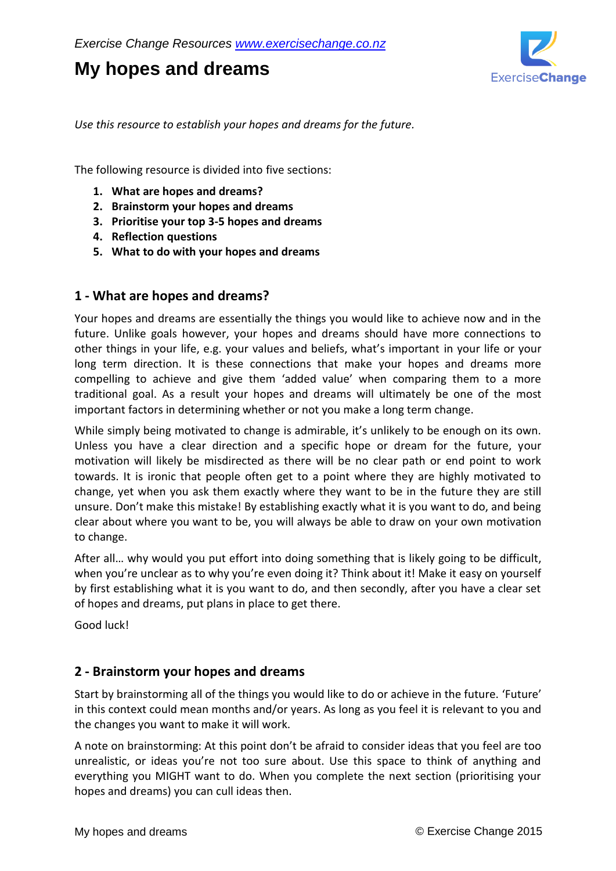# **My hopes and dreams**



*Use this resource to establish your hopes and dreams for the future.*

The following resource is divided into five sections:

- **1. What are hopes and dreams?**
- **2. Brainstorm your hopes and dreams**
- **3. Prioritise your top 3-5 hopes and dreams**
- **4. Reflection questions**
- **5. What to do with your hopes and dreams**

## **1 - What are hopes and dreams?**

Your hopes and dreams are essentially the things you would like to achieve now and in the future. Unlike goals however, your hopes and dreams should have more connections to other things in your life, e.g. your values and beliefs, what's important in your life or your long term direction. It is these connections that make your hopes and dreams more compelling to achieve and give them 'added value' when comparing them to a more traditional goal. As a result your hopes and dreams will ultimately be one of the most important factors in determining whether or not you make a long term change.

While simply being motivated to change is admirable, it's unlikely to be enough on its own. Unless you have a clear direction and a specific hope or dream for the future, your motivation will likely be misdirected as there will be no clear path or end point to work towards. It is ironic that people often get to a point where they are highly motivated to change, yet when you ask them exactly where they want to be in the future they are still unsure. Don't make this mistake! By establishing exactly what it is you want to do, and being clear about where you want to be, you will always be able to draw on your own motivation to change.

After all… why would you put effort into doing something that is likely going to be difficult, when you're unclear as to why you're even doing it? Think about it! Make it easy on yourself by first establishing what it is you want to do, and then secondly, after you have a clear set of hopes and dreams, put plans in place to get there.

Good luck!

# **2 - Brainstorm your hopes and dreams**

Start by brainstorming all of the things you would like to do or achieve in the future. 'Future' in this context could mean months and/or years. As long as you feel it is relevant to you and the changes you want to make it will work.

A note on brainstorming: At this point don't be afraid to consider ideas that you feel are too unrealistic, or ideas you're not too sure about. Use this space to think of anything and everything you MIGHT want to do. When you complete the next section (prioritising your hopes and dreams) you can cull ideas then.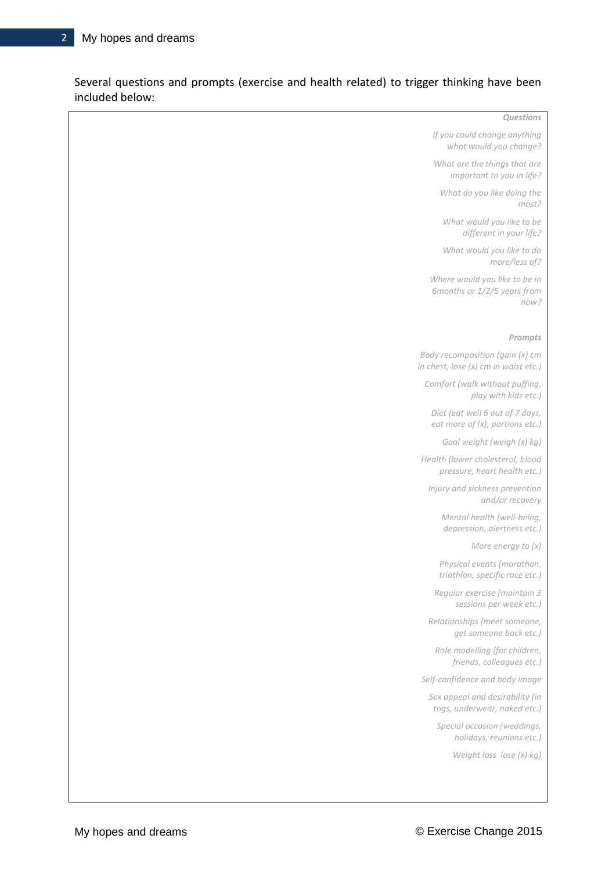## Several questions and prompts (exercise and health related) to trigger thinking have been included below:

| <b>Questions</b><br>If you could change anything<br>what would you change?<br>What are the things that are<br>important to you in life?<br>What do you like doing the |
|-----------------------------------------------------------------------------------------------------------------------------------------------------------------------|
|                                                                                                                                                                       |
|                                                                                                                                                                       |
|                                                                                                                                                                       |
| most?                                                                                                                                                                 |
| What would you like to be<br>different in your life?                                                                                                                  |
| What would you like to do<br>more/less of?                                                                                                                            |
| Where would you like to be in<br>6months or 1/2/5 years from<br>now?                                                                                                  |
| Prompts                                                                                                                                                               |
| Body recomposition (gain (x) cm<br>in chest, lose (x) cm in waist etc.)                                                                                               |
| Comfort (walk without puffing,<br>play with kids etc.)                                                                                                                |
| Diet (eat well 6 out of 7 days,<br>eat more of (x), portions etc.)                                                                                                    |
| Goal weight (weigh (x) kg)                                                                                                                                            |
| Health (lower cholesterol, blood<br>pressure, heart health etc.)                                                                                                      |
| Injury and sickness prevention<br>and/or recovery                                                                                                                     |
| Mental health (well-being,<br>depression, alertness etc.)                                                                                                             |
| More energy to (x)                                                                                                                                                    |
| Physical events (marathon,<br>triathlon, specific race etc.)                                                                                                          |
| Regular exercise (maintain 3<br>sessions per week etc.)                                                                                                               |
| Relationships (meet someone,<br>get someone back etc.)                                                                                                                |
| Role modelling (for children,<br>friends, colleagues etc.)                                                                                                            |
| Self-confidence and body image                                                                                                                                        |
| Sex appeal and desirability (in<br>togs, underwear, naked etc.)                                                                                                       |
| Special occasion (weddings,<br>holidays, reunions etc.)                                                                                                               |
| Weight loss $lose(x) kg)$                                                                                                                                             |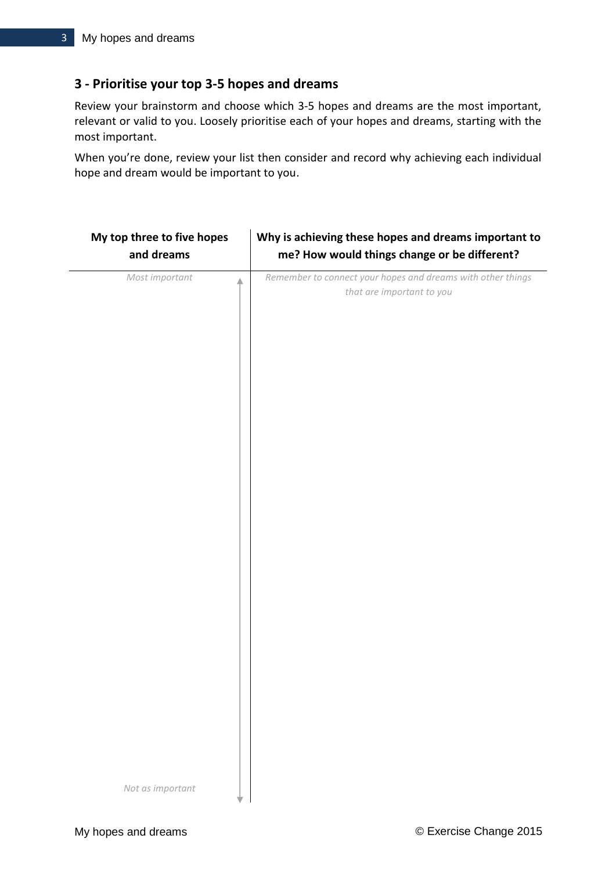# **3 - Prioritise your top 3-5 hopes and dreams**

Review your brainstorm and choose which 3-5 hopes and dreams are the most important, relevant or valid to you. Loosely prioritise each of your hopes and dreams, starting with the most important.

When you're done, review your list then consider and record why achieving each individual hope and dream would be important to you.

| My top three to five hopes<br>and dreams | Why is achieving these hopes and dreams important to<br>me? How would things change or be different? |
|------------------------------------------|------------------------------------------------------------------------------------------------------|
| Most important<br>₳                      | Remember to connect your hopes and dreams with other things<br>that are important to you             |
|                                          |                                                                                                      |
|                                          |                                                                                                      |
|                                          |                                                                                                      |
|                                          |                                                                                                      |
|                                          |                                                                                                      |
|                                          |                                                                                                      |
|                                          |                                                                                                      |
|                                          |                                                                                                      |
|                                          |                                                                                                      |
|                                          |                                                                                                      |
| Not as important                         |                                                                                                      |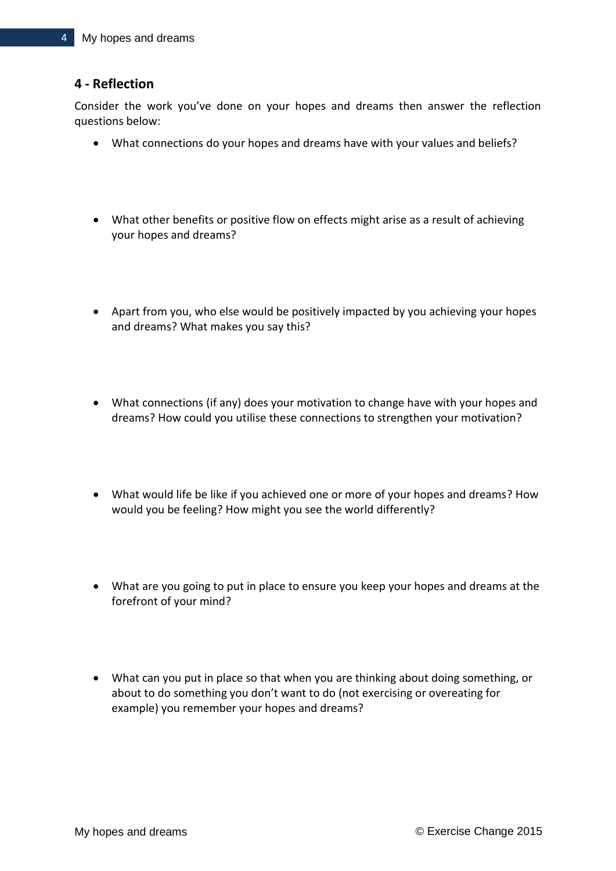## **4 - Reflection**

Consider the work you've done on your hopes and dreams then answer the reflection questions below:

- What connections do your hopes and dreams have with your values and beliefs?
- What other benefits or positive flow on effects might arise as a result of achieving your hopes and dreams?
- Apart from you, who else would be positively impacted by you achieving your hopes and dreams? What makes you say this?
- What connections (if any) does your motivation to change have with your hopes and dreams? How could you utilise these connections to strengthen your motivation?
- What would life be like if you achieved one or more of your hopes and dreams? How would you be feeling? How might you see the world differently?
- What are you going to put in place to ensure you keep your hopes and dreams at the forefront of your mind?
- What can you put in place so that when you are thinking about doing something, or about to do something you don't want to do (not exercising or overeating for example) you remember your hopes and dreams?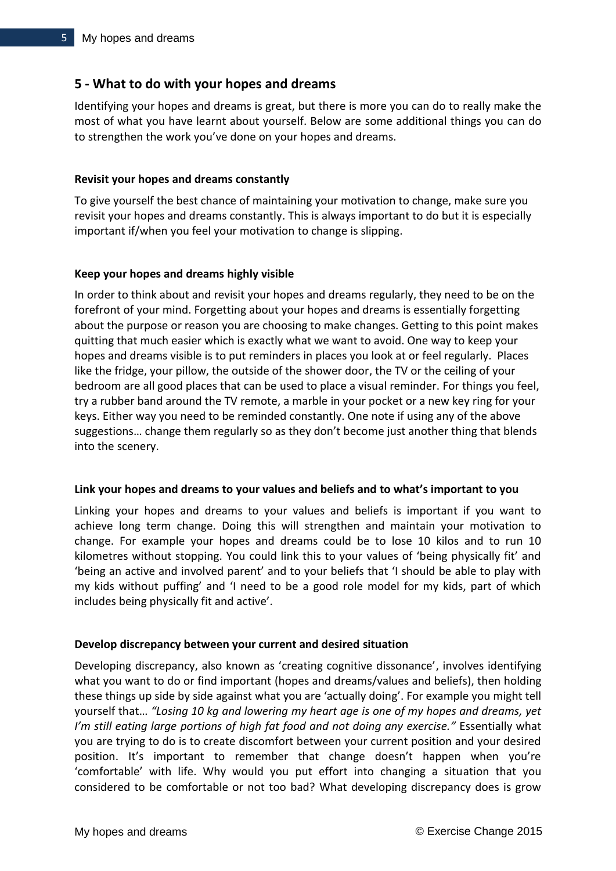# **5 - What to do with your hopes and dreams**

Identifying your hopes and dreams is great, but there is more you can do to really make the most of what you have learnt about yourself. Below are some additional things you can do to strengthen the work you've done on your hopes and dreams.

#### **Revisit your hopes and dreams constantly**

To give yourself the best chance of maintaining your motivation to change, make sure you revisit your hopes and dreams constantly. This is always important to do but it is especially important if/when you feel your motivation to change is slipping.

#### **Keep your hopes and dreams highly visible**

In order to think about and revisit your hopes and dreams regularly, they need to be on the forefront of your mind. Forgetting about your hopes and dreams is essentially forgetting about the purpose or reason you are choosing to make changes. Getting to this point makes quitting that much easier which is exactly what we want to avoid. One way to keep your hopes and dreams visible is to put reminders in places you look at or feel regularly. Places like the fridge, your pillow, the outside of the shower door, the TV or the ceiling of your bedroom are all good places that can be used to place a visual reminder. For things you feel, try a rubber band around the TV remote, a marble in your pocket or a new key ring for your keys. Either way you need to be reminded constantly. One note if using any of the above suggestions… change them regularly so as they don't become just another thing that blends into the scenery.

#### **Link your hopes and dreams to your values and beliefs and to what's important to you**

Linking your hopes and dreams to your values and beliefs is important if you want to achieve long term change. Doing this will strengthen and maintain your motivation to change. For example your hopes and dreams could be to lose 10 kilos and to run 10 kilometres without stopping. You could link this to your values of 'being physically fit' and 'being an active and involved parent' and to your beliefs that 'I should be able to play with my kids without puffing' and 'I need to be a good role model for my kids, part of which includes being physically fit and active'.

## **Develop discrepancy between your current and desired situation**

Developing discrepancy, also known as 'creating cognitive dissonance', involves identifying what you want to do or find important (hopes and dreams/values and beliefs), then holding these things up side by side against what you are 'actually doing'. For example you might tell yourself that… *"Losing 10 kg and lowering my heart age is one of my hopes and dreams, yet I'm still eating large portions of high fat food and not doing any exercise."* Essentially what you are trying to do is to create discomfort between your current position and your desired position. It's important to remember that change doesn't happen when you're 'comfortable' with life. Why would you put effort into changing a situation that you considered to be comfortable or not too bad? What developing discrepancy does is grow